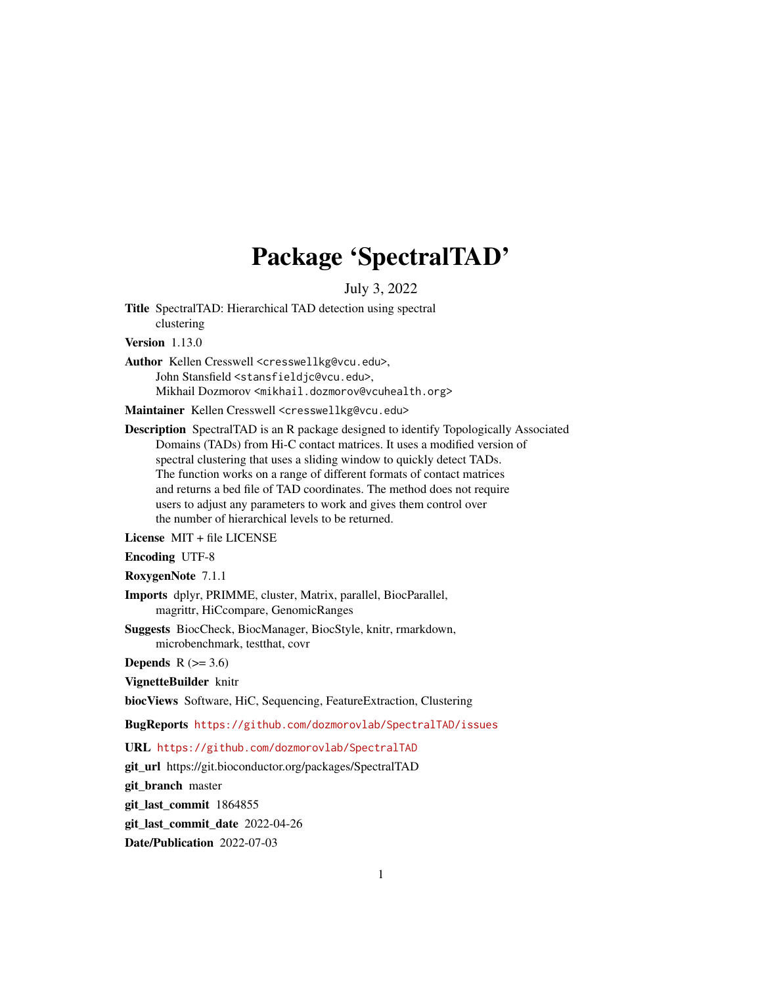## Package 'SpectralTAD'

July 3, 2022

Title SpectralTAD: Hierarchical TAD detection using spectral clustering Version 1.13.0

Author Kellen Cresswell <cresswellkg@vcu.edu>, John Stansfield <stansfieldjc@vcu.edu>, Mikhail Dozmorov <mikhail.dozmorov@vcuhealth.org>

Maintainer Kellen Cresswell <cresswellkg@vcu.edu>

Description SpectralTAD is an R package designed to identify Topologically Associated Domains (TADs) from Hi-C contact matrices. It uses a modified version of spectral clustering that uses a sliding window to quickly detect TADs. The function works on a range of different formats of contact matrices and returns a bed file of TAD coordinates. The method does not require users to adjust any parameters to work and gives them control over the number of hierarchical levels to be returned.

License MIT + file LICENSE

Encoding UTF-8

RoxygenNote 7.1.1

Imports dplyr, PRIMME, cluster, Matrix, parallel, BiocParallel, magrittr, HiCcompare, GenomicRanges

Suggests BiocCheck, BiocManager, BiocStyle, knitr, rmarkdown, microbenchmark, testthat, covr

Depends  $R$  ( $>= 3.6$ )

VignetteBuilder knitr

biocViews Software, HiC, Sequencing, FeatureExtraction, Clustering

BugReports <https://github.com/dozmorovlab/SpectralTAD/issues>

URL <https://github.com/dozmorovlab/SpectralTAD>

git\_url https://git.bioconductor.org/packages/SpectralTAD

git\_branch master

git\_last\_commit 1864855

git\_last\_commit\_date 2022-04-26

Date/Publication 2022-07-03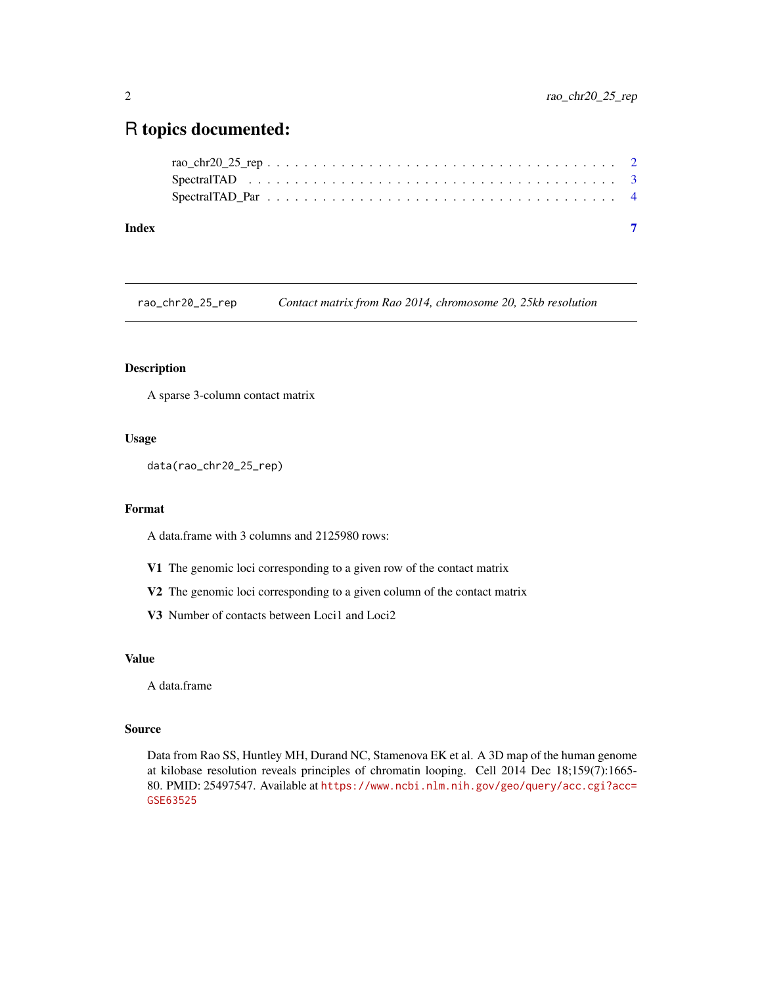### <span id="page-1-0"></span>R topics documented:

| Index |  |
|-------|--|
|       |  |
|       |  |
|       |  |

rao\_chr20\_25\_rep *Contact matrix from Rao 2014, chromosome 20, 25kb resolution*

#### Description

A sparse 3-column contact matrix

#### Usage

data(rao\_chr20\_25\_rep)

#### Format

A data.frame with 3 columns and 2125980 rows:

- V1 The genomic loci corresponding to a given row of the contact matrix
- V2 The genomic loci corresponding to a given column of the contact matrix
- V3 Number of contacts between Loci1 and Loci2

#### Value

A data.frame

#### Source

Data from Rao SS, Huntley MH, Durand NC, Stamenova EK et al. A 3D map of the human genome at kilobase resolution reveals principles of chromatin looping. Cell 2014 Dec 18;159(7):1665- 80. PMID: 25497547. Available at [https://www.ncbi.nlm.nih.gov/geo/query/acc.cgi?acc=](https://www.ncbi.nlm.nih.gov/geo/query/acc.cgi?acc=GSE63525) [GSE63525](https://www.ncbi.nlm.nih.gov/geo/query/acc.cgi?acc=GSE63525)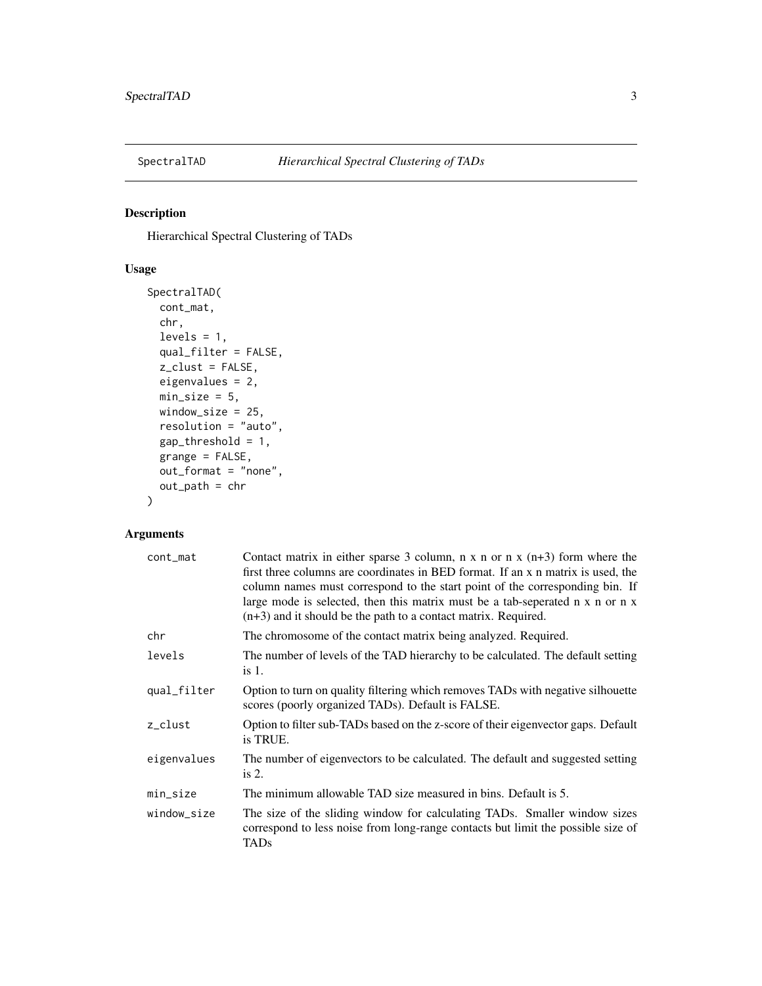<span id="page-2-0"></span>

#### Description

Hierarchical Spectral Clustering of TADs

#### Usage

```
SpectralTAD(
  cont_mat,
  chr,
  levels = 1,
 qual_filter = FALSE,
  z_clust = FALSE,
 eigenvalues = 2,
 min\_size = 5,
 window_size = 25,
  resolution = "auto",
  gap_threshold = 1,
  grange = FALSE,
 out_format = "none",
  out_path = chr
)
```
#### Arguments

| cont_mat    | Contact matrix in either sparse 3 column, $n \times n$ or $n \times (n+3)$ form where the<br>first three columns are coordinates in BED format. If an x n matrix is used, the<br>column names must correspond to the start point of the corresponding bin. If<br>large mode is selected, then this matrix must be a tab-seperated n x n or n x<br>$(n+3)$ and it should be the path to a contact matrix. Required. |
|-------------|--------------------------------------------------------------------------------------------------------------------------------------------------------------------------------------------------------------------------------------------------------------------------------------------------------------------------------------------------------------------------------------------------------------------|
| chr         | The chromosome of the contact matrix being analyzed. Required.                                                                                                                                                                                                                                                                                                                                                     |
| levels      | The number of levels of the TAD hierarchy to be calculated. The default setting<br>is 1.                                                                                                                                                                                                                                                                                                                           |
| qual_filter | Option to turn on quality filtering which removes TADs with negative silhouette<br>scores (poorly organized TADs). Default is FALSE.                                                                                                                                                                                                                                                                               |
| z_clust     | Option to filter sub-TADs based on the z-score of their eigenvector gaps. Default<br>is TRUE.                                                                                                                                                                                                                                                                                                                      |
| eigenvalues | The number of eigenvectors to be calculated. The default and suggested setting<br>is $2$ .                                                                                                                                                                                                                                                                                                                         |
| min_size    | The minimum allowable TAD size measured in bins. Default is 5.                                                                                                                                                                                                                                                                                                                                                     |
| window_size | The size of the sliding window for calculating TADs. Smaller window sizes<br>correspond to less noise from long-range contacts but limit the possible size of<br>TADs                                                                                                                                                                                                                                              |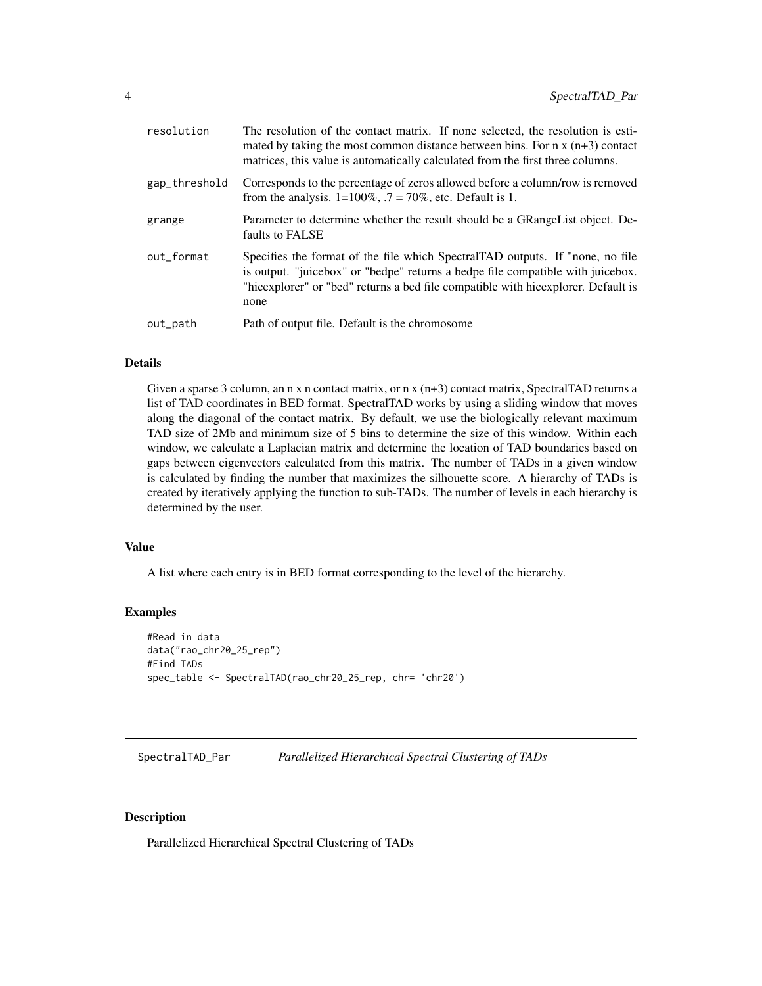<span id="page-3-0"></span>

| resolution    | The resolution of the contact matrix. If none selected, the resolution is esti-<br>mated by taking the most common distance between bins. For $n \times (n+3)$ contact<br>matrices, this value is automatically calculated from the first three columns.      |
|---------------|---------------------------------------------------------------------------------------------------------------------------------------------------------------------------------------------------------------------------------------------------------------|
| gap_threshold | Corresponds to the percentage of zeros allowed before a column/row is removed<br>from the analysis. $1=100\%$ , $.7=70\%$ , etc. Default is 1.                                                                                                                |
| grange        | Parameter to determine whether the result should be a GRangeList object. De-<br>faults to FALSE                                                                                                                                                               |
| out_format    | Specifies the format of the file which SpectralTAD outputs. If "none, no file<br>is output. "juicebox" or "bedpe" returns a bedpe file compatible with juicebox.<br>"hicexplorer" or "bed" returns a bed file compatible with hicexplorer. Default is<br>none |
| out_path      | Path of output file. Default is the chromosome                                                                                                                                                                                                                |
|               |                                                                                                                                                                                                                                                               |

#### Details

Given a sparse 3 column, an n x n contact matrix, or n x  $(n+3)$  contact matrix, SpectralTAD returns a list of TAD coordinates in BED format. SpectralTAD works by using a sliding window that moves along the diagonal of the contact matrix. By default, we use the biologically relevant maximum TAD size of 2Mb and minimum size of 5 bins to determine the size of this window. Within each window, we calculate a Laplacian matrix and determine the location of TAD boundaries based on gaps between eigenvectors calculated from this matrix. The number of TADs in a given window is calculated by finding the number that maximizes the silhouette score. A hierarchy of TADs is created by iteratively applying the function to sub-TADs. The number of levels in each hierarchy is determined by the user.

#### Value

A list where each entry is in BED format corresponding to the level of the hierarchy.

#### Examples

```
#Read in data
data("rao_chr20_25_rep")
#Find TADs
spec_table <- SpectralTAD(rao_chr20_25_rep, chr= 'chr20')
```
SpectralTAD\_Par *Parallelized Hierarchical Spectral Clustering of TADs*

#### Description

Parallelized Hierarchical Spectral Clustering of TADs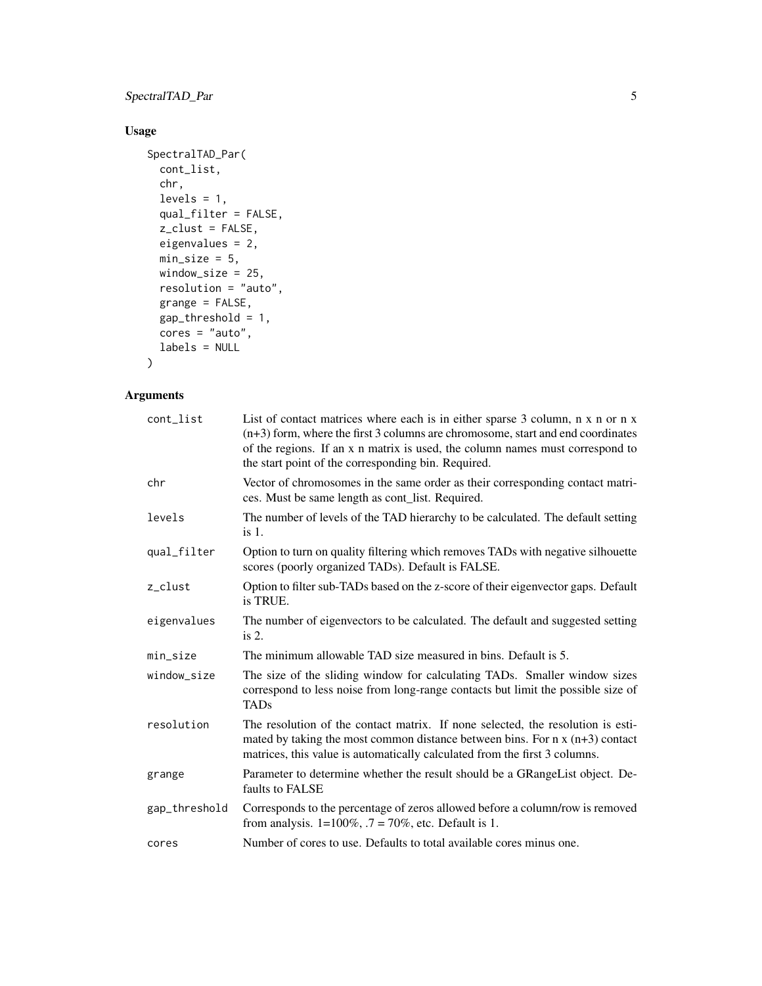#### SpectralTAD\_Par 5

#### Usage

```
SpectralTAD_Par(
 cont_list,
  chr,
 levels = 1,qual_filter = FALSE,
 z_clust = FALSE,
 eigenvalues = 2,
 min\_size = 5,
 window_size = 25,
 resolution = "auto",
 grange = FALSE,
 gap_threshold = 1,
 cores = "auto",labels = NULL
\mathcal{L}
```
#### Arguments

| cont_list     | List of contact matrices where each is in either sparse 3 column, n x n or n x<br>$(n+3)$ form, where the first 3 columns are chromosome, start and end coordinates<br>of the regions. If an x n matrix is used, the column names must correspond to<br>the start point of the corresponding bin. Required. |
|---------------|-------------------------------------------------------------------------------------------------------------------------------------------------------------------------------------------------------------------------------------------------------------------------------------------------------------|
| chr           | Vector of chromosomes in the same order as their corresponding contact matri-<br>ces. Must be same length as cont_list. Required.                                                                                                                                                                           |
| levels        | The number of levels of the TAD hierarchy to be calculated. The default setting<br>is 1.                                                                                                                                                                                                                    |
| qual_filter   | Option to turn on quality filtering which removes TADs with negative silhouette<br>scores (poorly organized TADs). Default is FALSE.                                                                                                                                                                        |
| z_clust       | Option to filter sub-TADs based on the z-score of their eigenvector gaps. Default<br>is TRUE.                                                                                                                                                                                                               |
| eigenvalues   | The number of eigenvectors to be calculated. The default and suggested setting<br>is $2$ .                                                                                                                                                                                                                  |
| min_size      | The minimum allowable TAD size measured in bins. Default is 5.                                                                                                                                                                                                                                              |
| window_size   | The size of the sliding window for calculating TADs. Smaller window sizes<br>correspond to less noise from long-range contacts but limit the possible size of<br><b>TADs</b>                                                                                                                                |
| resolution    | The resolution of the contact matrix. If none selected, the resolution is esti-<br>mated by taking the most common distance between bins. For $n \times (n+3)$ contact<br>matrices, this value is automatically calculated from the first 3 columns.                                                        |
| grange        | Parameter to determine whether the result should be a GRangeList object. De-<br>faults to FALSE                                                                                                                                                                                                             |
| gap_threshold | Corresponds to the percentage of zeros allowed before a column/row is removed<br>from analysis. $1=100\%$ , $.7 = 70\%$ , etc. Default is 1.                                                                                                                                                                |
| cores         | Number of cores to use. Defaults to total available cores minus one.                                                                                                                                                                                                                                        |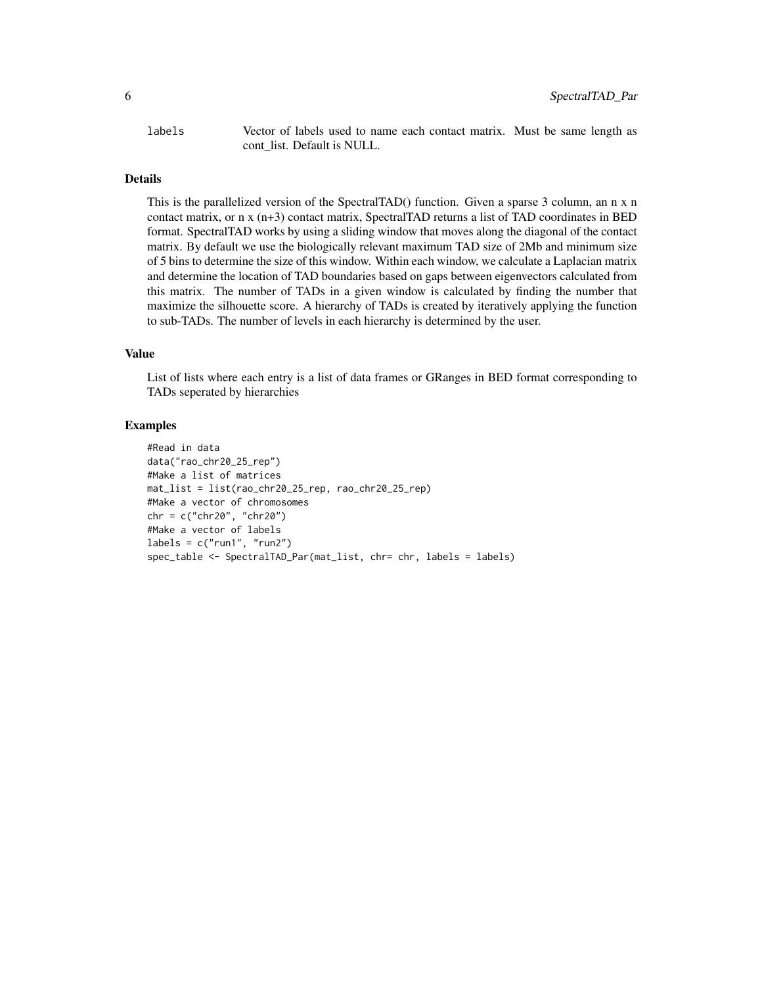labels Vector of labels used to name each contact matrix. Must be same length as cont list. Default is NULL.

#### Details

This is the parallelized version of the SpectralTAD() function. Given a sparse 3 column, an n x n contact matrix, or n x (n+3) contact matrix, SpectralTAD returns a list of TAD coordinates in BED format. SpectralTAD works by using a sliding window that moves along the diagonal of the contact matrix. By default we use the biologically relevant maximum TAD size of 2Mb and minimum size of 5 bins to determine the size of this window. Within each window, we calculate a Laplacian matrix and determine the location of TAD boundaries based on gaps between eigenvectors calculated from this matrix. The number of TADs in a given window is calculated by finding the number that maximize the silhouette score. A hierarchy of TADs is created by iteratively applying the function to sub-TADs. The number of levels in each hierarchy is determined by the user.

#### Value

List of lists where each entry is a list of data frames or GRanges in BED format corresponding to TADs seperated by hierarchies

#### Examples

```
#Read in data
data("rao_chr20_25_rep")
#Make a list of matrices
mat_list = list(rao_chr20_25_rep, rao_chr20_25_rep)
#Make a vector of chromosomes
chr = c("chr20", "chr20")
#Make a vector of labels
labels = c("run1", "run2")spec_table <- SpectralTAD_Par(mat_list, chr= chr, labels = labels)
```